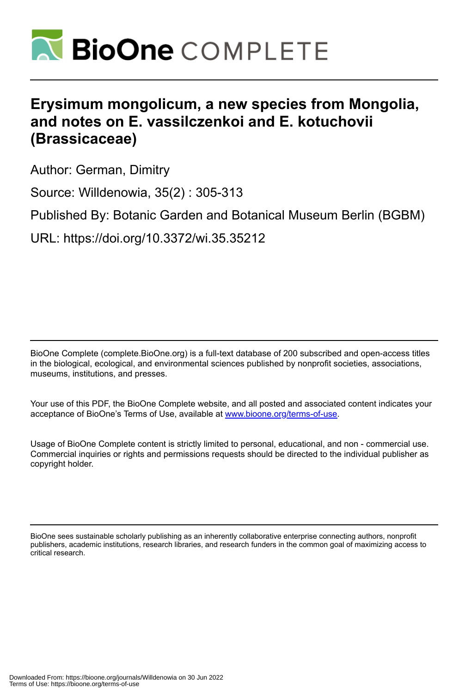

# **Erysimum mongolicum, a new species from Mongolia, and notes on E. vassilczenkoi and E. kotuchovii (Brassicaceae)**

Author: German, Dimitry

Source: Willdenowia, 35(2) : 305-313

Published By: Botanic Garden and Botanical Museum Berlin (BGBM)

URL: https://doi.org/10.3372/wi.35.35212

BioOne Complete (complete.BioOne.org) is a full-text database of 200 subscribed and open-access titles in the biological, ecological, and environmental sciences published by nonprofit societies, associations, museums, institutions, and presses.

Your use of this PDF, the BioOne Complete website, and all posted and associated content indicates your acceptance of BioOne's Terms of Use, available at www.bioone.org/terms-of-use.

Usage of BioOne Complete content is strictly limited to personal, educational, and non - commercial use. Commercial inquiries or rights and permissions requests should be directed to the individual publisher as copyright holder.

BioOne sees sustainable scholarly publishing as an inherently collaborative enterprise connecting authors, nonprofit publishers, academic institutions, research libraries, and research funders in the common goal of maximizing access to critical research.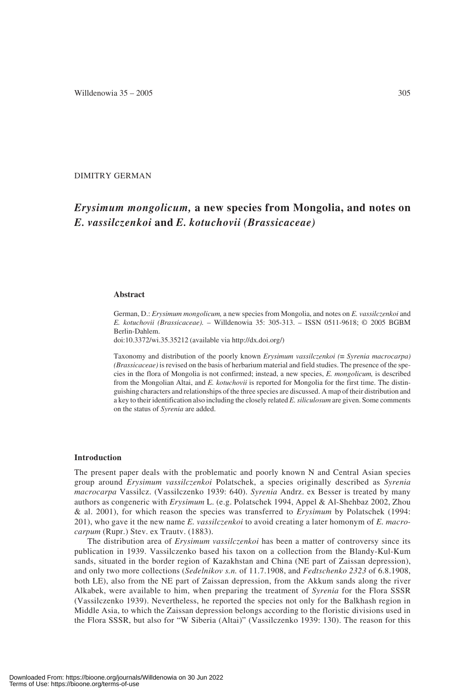# DIMITRY GERMAN

# *Erysimum mongolicum,* **a new species from Mongolia, and notes on** *E. vassilczenkoi* **and** *E. kotuchovii (Brassicaceae)*

#### **Abstract**

German, D.: *Erysimum mongolicum,* a new species from Mongolia, and notes on *E. vassilczenkoi* and *E. kotuchovii (Brassicaceae).* – Willdenowia 35: 305-313. – ISSN 0511-9618; © 2005 BGBM Berlin-Dahlem.

doi:10.3372/wi.35.35212 (available via http://dx.doi.org/)

Taxonomy and distribution of the poorly known *Erysimum vassilczenkoi ( Syrenia macrocarpa) (Brassicaceae)* is revised on the basis of herbarium material and field studies. The presence of the species in the flora of Mongolia is not confirmed; instead, a new species, *E. mongolicum,* is described from the Mongolian Altai, and *E. kotuchovii* is reported for Mongolia for the first time. The distinguishing characters and relationships of the three species are discussed. A map of their distribution and a key to their identification also including the closely related *E. siliculosum* are given. Some comments on the status of *Syrenia* are added.

#### **Introduction**

The present paper deals with the problematic and poorly known N and Central Asian species group around *Erysimum vassilczenkoi* Polatschek, a species originally described as *Syrenia macrocarpa* Vassilcz. (Vassilczenko 1939: 640). *Syrenia* Andrz. ex Besser is treated by many authors as congeneric with *Erysimum* L. (e.g. Polatschek 1994, Appel & Al-Shehbaz 2002, Zhou & al. 2001), for which reason the species was transferred to *Erysimum* by Polatschek (1994: 201), who gave it the new name *E. vassilczenkoi* to avoid creating a later homonym of *E. macrocarpum* (Rupr.) Stev. ex Trautv. (1883).

The distribution area of *Erysimum vassilczenkoi* has been a matter of controversy since its publication in 1939. Vassilczenko based his taxon on a collection from the Blandy-Kul-Kum sands, situated in the border region of Kazakhstan and China (NE part of Zaissan depression), and only two more collections (*Sedelnikov s.n.* of 11.7.1908, and *Fedtschenko 2323* of 6.8.1908, both LE), also from the NE part of Zaissan depression, from the Akkum sands along the river Alkabek, were available to him, when preparing the treatment of *Syrenia* for the Flora SSSR (Vassilczenko 1939). Nevertheless, he reported the species not only for the Balkhash region in Middle Asia, to which the Zaissan depression belongs according to the floristic divisions used in the Flora SSSR, but also for "W Siberia (Altai)" (Vassilczenko 1939: 130). The reason for this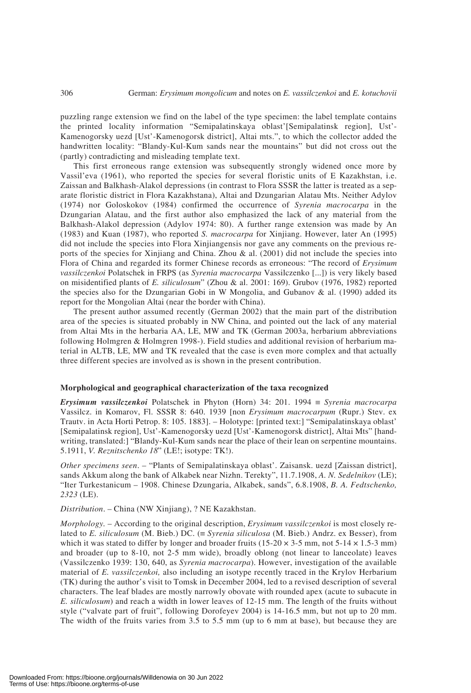puzzling range extension we find on the label of the type specimen: the label template contains the printed locality information "Semipalatinskaya oblast'[Semipalatinsk region], Ust'- Kamenogorsky uezd [Ust'-Kamenogorsk district], Altai mts.", to which the collector added the handwritten locality: "Blandy-Kul-Kum sands near the mountains" but did not cross out the (partly) contradicting and misleading template text.

This first erroneous range extension was subsequently strongly widened once more by Vassil'eva (1961), who reported the species for several floristic units of E Kazakhstan, i.e. Zaissan and Balkhash-Alakol depressions (in contrast to Flora SSSR the latter is treated as a separate floristic district in Flora Kazakhstana), Altai and Dzungarian Alatau Mts. Neither Adylov (1974) nor Goloskokov (1984) confirmed the occurrence of *Syrenia macrocarpa* in the Dzungarian Alatau, and the first author also emphasized the lack of any material from the Balkhash-Alakol depression (Adylov 1974: 80). A further range extension was made by An (1983) and Kuan (1987), who reported *S. macrocarpa* for Xinjiang. However, later An (1995) did not include the species into Flora Xinjiangensis nor gave any comments on the previous reports of the species for Xinjiang and China. Zhou  $\&$  al. (2001) did not include the species into Flora of China and regarded its former Chinese records as erroneous: "The record of *Erysimum vassilczenkoi* Polatschek in FRPS (as *Syrenia macrocarpa* Vassilczenko [...]) is very likely based on misidentified plants of *E. siliculosum*" (Zhou & al. 2001: 169). Grubov (1976, 1982) reported the species also for the Dzungarian Gobi in W Mongolia, and Gubanov  $\&$  al. (1990) added its report for the Mongolian Altai (near the border with China).

The present author assumed recently (German 2002) that the main part of the distribution area of the species is situated probably in NW China, and pointed out the lack of any material from Altai Mts in the herbaria AA, LE, MW and TK (German 2003a, herbarium abbreviations following Holmgren & Holmgren 1998-). Field studies and additional revision of herbarium material in ALTB, LE, MW and TK revealed that the case is even more complex and that actually three different species are involved as is shown in the present contribution.

#### **Morphological and geographical characterization of the taxa recognized**

*Erysimum vassilczenkoi* Polatschek in Phyton (Horn) 34: 201. 1994 ≡ *Syrenia macrocarpa* Vassilcz. in Komarov, Fl. SSSR 8: 640. 1939 [non *Erysimum macrocarpum* (Rupr.) Stev. ex Trautv. in Acta Horti Petrop. 8: 105. 1883]. – Holotype: [printed text:] "Semipalatinskaya oblast' [Semipalatinsk region], Ust'-Kamenogorsky uezd [Ust'-Kamenogorsk district], Altai Mts" [handwriting, translated:] "Blandy-Kul-Kum sands near the place of their lean on serpentine mountains. 5.1911, *V. Reznitschenko 18*" (LE!; isotype: TK!).

*Other specimens seen*. – "Plants of Semipalatinskaya oblast'. Zaisansk. uezd [Zaissan district], sands Akkum along the bank of Alkabek near Nizhn. Terekty", 11.7.1908, *A. N. Sedelnikov* (LE); "Iter Turkestanicum – 1908. Chinese Dzungaria, Alkabek, sands", 6.8.1908, *B. A. Fedtschenko, 2323* (LE).

*Distribution*. – China (NW Xinjiang), ? NE Kazakhstan.

*Morphology.* – According to the original description, *Erysimum vassilczenkoi* is most closely related to *E. siliculosum* (M. Bieb.) DC. (≡ *Syrenia siliculosa* (M. Bieb.) Andrz. ex Besser), from which it was stated to differ by longer and broader fruits (15-20  $\times$  3-5 mm, not 5-14  $\times$  1.5-3 mm) and broader (up to 8-10, not 2-5 mm wide), broadly oblong (not linear to lanceolate) leaves (Vassilczenko 1939: 130, 640, as *Syrenia macrocarpa*). However, investigation of the available material of *E. vassilczenkoi,* also including an isotype recently traced in the Krylov Herbarium (TK) during the author's visit to Tomsk in December 2004, led to a revised description of several characters. The leaf blades are mostly narrowly obovate with rounded apex (acute to subacute in *E. siliculosum*) and reach a width in lower leaves of 12-15 mm. The length of the fruits without style ("valvate part of fruit", following Dorofeyev 2004) is 14-16.5 mm, but not up to 20 mm. The width of the fruits varies from 3.5 to 5.5 mm (up to 6 mm at base), but because they are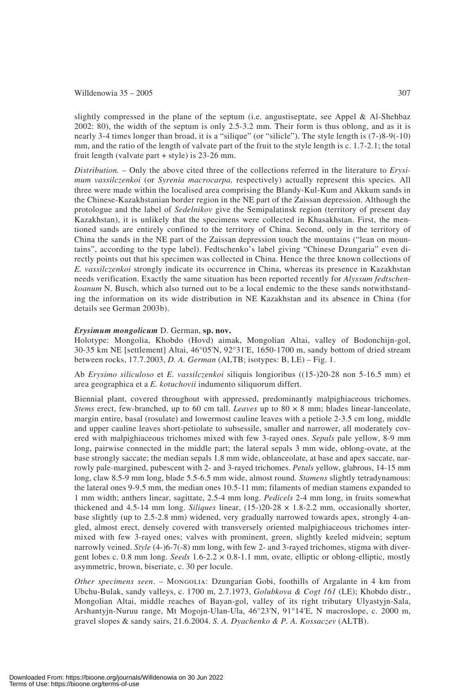#### Willdenowia  $35 - 2005$  307

slightly compressed in the plane of the septum (i.e. angustiseptate, see Appel & Al-Shehbaz 2002: 80), the width of the septum is only 2.5-3.2 mm. Their form is thus oblong, and as it is nearly 3-4 times longer than broad, it is a "silique" (or "silicle"). The style length is (7-)8-9(-10) mm, and the ratio of the length of valvate part of the fruit to the style length is c. 1.7-2.1; the total fruit length (valvate part + style) is 23-26 mm.

*Distribution.* – Only the above cited three of the collections referred in the literature to *Erysimum vassilczenkoi* (or *Syrenia macrocarpa,* respectively) actually represent this species. All three were made within the localised area comprising the Blandy-Kul-Kum and Akkum sands in the Chinese-Kazakhstanian border region in the NE part of the Zaissan depression. Although the protologue and the label of *Sedelnikov* give the Semipalatinsk region (territory of present day Kazakhstan), it is unlikely that the specimens were collected in Khasakhstan. First, the mentioned sands are entirely confined to the territory of China. Second, only in the territory of China the sands in the NE part of the Zaissan depression touch the mountains ("lean on mountains", according to the type label). Fedtschenko's label giving "Chinese Dzungaria" even directly points out that his specimen was collected in China. Hence the three known collections of *E. vassilczenkoi* strongly indicate its occurrence in China, whereas its presence in Kazakhstan needs verification. Exactly the same situation has been reported recently for *Alyssum fedtschenkoanum* N. Busch, which also turned out to be a local endemic to the these sands notwithstanding the information on its wide distribution in NE Kazakhstan and its absence in China (for details see German 2003b).

### *Erysimum mongolicum* D. German, **sp. nov.**

Holotype: Mongolia, Khobdo (Hovd) aimak, Mongolian Altai, valley of Bodonchijn-gol, 30-35 km NE [settlement] Altai, 46°05'N, 92°31'E, 1650-1700 m, sandy bottom of dried stream between rocks, 17.7.2003, *D. A. German* (ALTB; isotypes: B, LE) – Fig. 1.

Ab *Erysimo siliculoso* et *E. vassilczenkoi* siliquis longioribus ((15-)20-28 non 5-16.5 mm) et area geographica et a *E. kotuchovii* indumento siliquorum differt.

Biennial plant, covered throughout with appressed, predominantly malpighiaceous trichomes. *Stems* erect, few-branched, up to 60 cm tall. *Leaves* up to 80 × 8 mm; blades linear-lanceolate, margin entire, basal (rosulate) and lowermost cauline leaves with a petiole 2-3.5 cm long, middle and upper cauline leaves short-petiolate to subsessile, smaller and narrower, all moderately covered with malpighiaceous trichomes mixed with few 3-rayed ones. *Sepals* pale yellow, 8-9 mm long, pairwise connected in the middle part; the lateral sepals 3 mm wide, oblong-ovate, at the base strongly saccate; the median sepals 1.8 mm wide, oblanceolate, at base and apex saccate, narrowly pale-margined, pubescent with 2- and 3-rayed trichomes. *Petals* yellow, glabrous, 14-15 mm long, claw 8.5-9 mm long, blade 5.5-6.5 mm wide, almost round. *Stamens* slightly tetradynamous: the lateral ones 9-9.5 mm, the median ones 10.5-11 mm; filaments of median stamens expanded to 1 mm width; anthers linear, sagittate, 2.5-4 mm long. *Pedicels* 2-4 mm long, in fruits somewhat thickened and 4.5-14 mm long. *Siliques* linear, (15-)20-28 × 1.8-2.2 mm, occasionally shorter, base slightly (up to 2.5-2.8 mm) widened, very gradually narrowed towards apex, strongly 4-angled, almost erect, densely covered with transversely oriented malpighiaceous trichomes intermixed with few 3-rayed ones; valves with prominent, green, slightly keeled midvein; septum narrowly veined. *Style* (4-)6-7(-8) mm long, with few 2- and 3-rayed trichomes, stigma with divergent lobes c. 0.8 mm long. *Seeds* 1.6-2.2 × 0.8-1.1 mm, ovate, elliptic or oblong-elliptic, mostly asymmetric, brown, biseriate, c. 30 per locule.

*Other specimens seen*. – Mongolia: Dzungarian Gobi, foothills of Argalante in 4 km from Ubchu-Bulak, sandy valleys, c. 1700 m, 2.7.1973, *Golubkova & Cogt 161* (LE); Khobdo distr., Mongolian Altai, middle reaches of Bayan-gol, valley of its right tributary Ulyastyjn-Sala, Arshantyjn-Nuruu range, Mt Mogojn-Ulan-Ula, 46°23'N, 91°14'E, N macroslope, c. 2000 m, gravel slopes & sandy sairs, 21.6.2004. *S. A. Dyachenko & P. A. Kossaczev* (ALTB).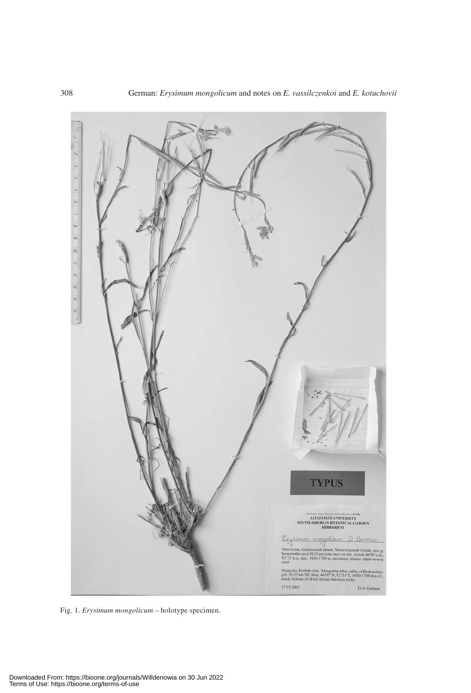

Fig. 1. *Erysimum mongolicum* – holotype specimen.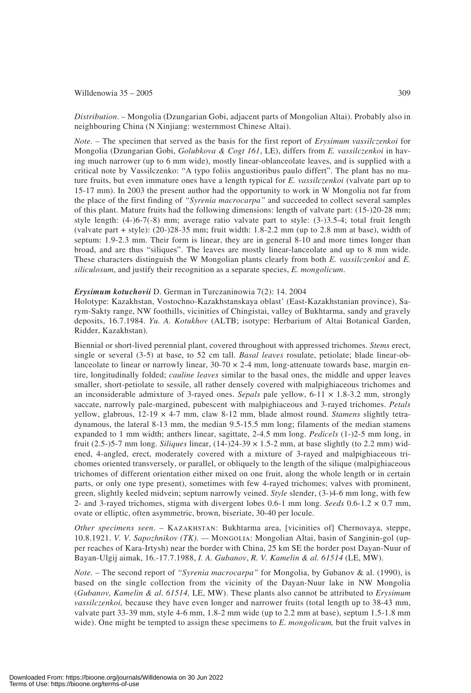#### Willdenowia  $35 - 2005$  309

*Distribution*. – Mongolia (Dzungarian Gobi, adjacent parts of Mongolian Altai). Probably also in neighbouring China (N Xinjiang: westernmost Chinese Altai).

*Note.* – The specimen that served as the basis for the first report of *Erysimum vassilczenkoi* for Mongolia (Dzungarian Gobi, *Golubkova & Cogt 161*, LE), differs from *E. vassilczenkoi* in having much narrower (up to 6 mm wide), mostly linear-oblanceolate leaves, and is supplied with a critical note by Vassilczenko: "A typo foliis angustioribus paulo differt". The plant has no mature fruits, but even immature ones have a length typical for *E. vassilczenkoi* (valvate part up to 15-17 mm). In 2003 the present author had the opportunity to work in W Mongolia not far from the place of the first finding of *"Syrenia macrocarpa"* and succeeded to collect several samples of this plant. Mature fruits had the following dimensions: length of valvate part: (15-)20-28 mm; style length: (4-)6-7(-8) mm; average ratio valvate part to style: (3-)3.5-4; total fruit length (valvate part + style): (20-)28-35 mm; fruit width: 1.8-2.2 mm (up to 2.8 mm at base), width of septum: 1.9-2.3 mm. Their form is linear, they are in general 8-10 and more times longer than broad, and are thus "siliques". The leaves are mostly linear-lanceolate and up to 8 mm wide. These characters distinguish the W Mongolian plants clearly from both *E. vassilczenkoi* and *E. siliculosum*, and justify their recognition as a separate species, *E. mongolicum*.

#### *Erysimum kotuchovii* D. German in Turczaninowia 7(2): 14. 2004

Holotype: Kazakhstan, Vostochno-Kazakhstanskaya oblast' (East-Kazakhstanian province), Sarym-Sakty range, NW foothills, vicinities of Chingistai, valley of Bukhtarma, sandy and gravely deposits, 16.7.1984. *Yu. A. Kotukhov* (ALTB; isotype: Herbarium of Altai Botanical Garden, Ridder, Kazakhstan)*.*

Biennial or short-lived perennial plant, covered throughout with appressed trichomes. *Stems* erect, single or several (3-5) at base, to 52 cm tall. *Basal leaves* rosulate, petiolate; blade linear-oblanceolate to linear or narrowly linear,  $30-70 \times 2-4$  mm, long-attenuate towards base, margin entire, longitudinally folded; *cauline leaves* similar to the basal ones, the middle and upper leaves smaller, short-petiolate to sessile, all rather densely covered with malpighiaceous trichomes and an inconsiderable admixture of 3-rayed ones. *Sepals* pale yellow, 6-11 × 1.8-3.2 mm, strongly saccate, narrowly pale-margined, pubescent with malpighiaceous and 3-rayed trichomes. *Petals* yellow, glabrous, 12-19 × 4-7 mm, claw 8-12 mm, blade almost round. *Stamens* slightly tetradynamous, the lateral 8-13 mm, the median 9.5-15.5 mm long; filaments of the median stamens expanded to 1 mm width; anthers linear, sagittate, 2-4.5 mm long. *Pedicels* (1-)2-5 mm long, in fruit (2.5-)5-7 mm long. *Siliques* linear, (14-)24-39 × 1.5-2 mm, at base slightly (to 2.2 mm) widened, 4-angled, erect, moderately covered with a mixture of 3-rayed and malpighiaceous trichomes oriented transversely, or parallel, or obliquely to the length of the silique (malpighiaceous trichomes of different orientation either mixed on one fruit, along the whole length or in certain parts, or only one type present), sometimes with few 4-rayed trichomes; valves with prominent, green, slightly keeled midvein; septum narrowly veined. *Style* slender, (3-)4-6 mm long, with few 2- and 3-rayed trichomes, stigma with divergent lobes 0.6-1 mm long. *Seeds* 0.6-1.2 × 0.7 mm, ovate or elliptic, often asymmetric, brown, biseriate, 30-40 per locule.

*Other specimens seen*. – Kazakhstan: Bukhtarma area, [vicinities of] Chernovaya, steppe, 10.8.1921. *V. V. Sapozhnikov (TK). —* Mongolia: Mongolian Altai, basin of Sanginin-gol (upper reaches of Kara-Irtysh) near the border with China, 25 km SE the border post Dayan-Nuur of Bayan-Ulgij aimak, 16.-17.7.1988, *I. A. Gubanov*, *R. V. Kamelin & al. 61514* (LE, MW).

*Note.* – The second report of *"Syrenia macrocarpa"* for Mongolia, by Gubanov & al. (1990), is based on the single collection from the vicinity of the Dayan-Nuur lake in NW Mongolia (*Gubanov, Kamelin & al. 61514,* LE, MW). These plants also cannot be attributed to *Erysimum vassilczenkoi,* because they have even longer and narrower fruits (total length up to 38-43 mm, valvate part 33-39 mm, style 4-6 mm, 1.8-2 mm wide (up to 2.2 mm at base), septum 1.5-1.8 mm wide). One might be tempted to assign these specimens to *E. mongolicum,* but the fruit valves in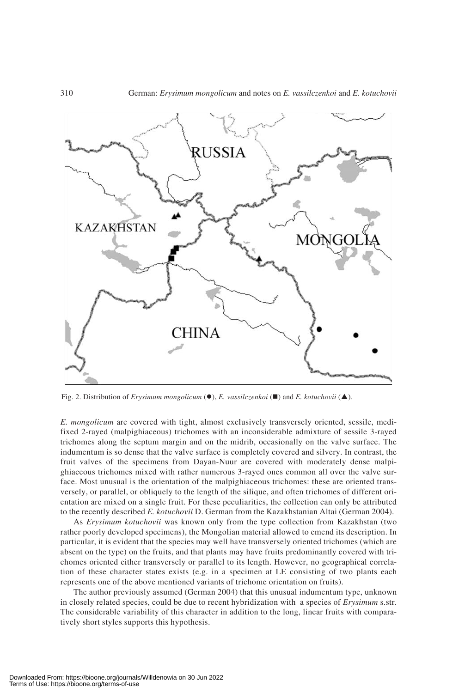

Fig. 2. Distribution of *Erysimum mongolicum* (●), *E. vassilczenkoi* (■) and *E. kotuchovii* (▲).

*E. mongolicum* are covered with tight, almost exclusively transversely oriented, sessile, medifixed 2-rayed (malpighiaceous) trichomes with an inconsiderable admixture of sessile 3-rayed trichomes along the septum margin and on the midrib, occasionally on the valve surface. The indumentum is so dense that the valve surface is completely covered and silvery. In contrast, the fruit valves of the specimens from Dayan-Nuur are covered with moderately dense malpighiaceous trichomes mixed with rather numerous 3-rayed ones common all over the valve surface. Most unusual is the orientation of the malpighiaceous trichomes: these are oriented transversely, or parallel, or obliquely to the length of the silique, and often trichomes of different orientation are mixed on a single fruit. For these peculiarities, the collection can only be attributed to the recently described *E. kotuchovii* D. German from the Kazakhstanian Altai (German 2004).

As *Erysimum kotuchovii* was known only from the type collection from Kazakhstan (two rather poorly developed specimens), the Mongolian material allowed to emend its description. In particular, it is evident that the species may well have transversely oriented trichomes (which are absent on the type) on the fruits, and that plants may have fruits predominantly covered with trichomes oriented either transversely or parallel to its length. However, no geographical correlation of these character states exists (e.g. in a specimen at LE consisting of two plants each represents one of the above mentioned variants of trichome orientation on fruits).

The author previously assumed (German 2004) that this unusual indumentum type, unknown in closely related species, could be due to recent hybridization with a species of *Erysimum* s.str. The considerable variability of this character in addition to the long, linear fruits with comparatively short styles supports this hypothesis.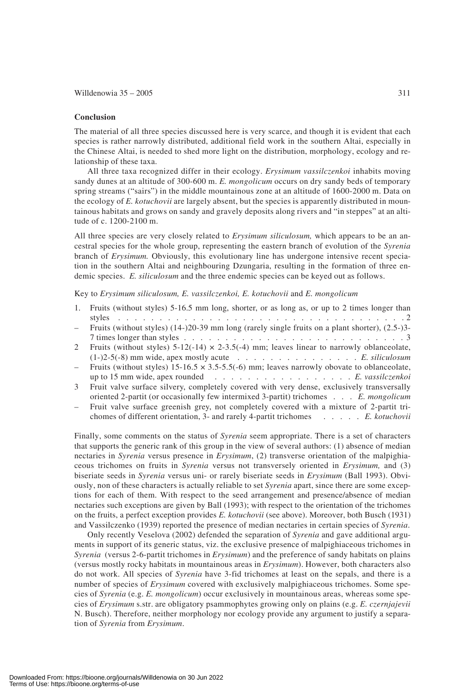#### **Conclusion**

The material of all three species discussed here is very scarce, and though it is evident that each species is rather narrowly distributed, additional field work in the southern Altai, especially in the Chinese Altai, is needed to shed more light on the distribution, morphology, ecology and relationship of these taxa.

All three taxa recognized differ in their ecology. *Erysimum vassilczenkoi* inhabits moving sandy dunes at an altitude of 300-600 m. *E. mongolicum* occurs on dry sandy beds of temporary spring streams ("sairs") in the middle mountainous zone at an altitude of 1600-2000 m. Data on the ecology of *E. kotuchovii* are largely absent, but the species is apparently distributed in mountainous habitats and grows on sandy and gravely deposits along rivers and "in steppes" at an altitude of c. 1200-2100 m.

All three species are very closely related to *Erysimum siliculosum,* which appears to be an ancestral species for the whole group, representing the eastern branch of evolution of the *Syrenia* branch of *Erysimum.* Obviously, this evolutionary line has undergone intensive recent speciation in the southern Altai and neighbouring Dzungaria, resulting in the formation of three endemic species. *E. siliculosum* and the three endemic species can be keyed out as follows.

## Key to *Erysimum siliculosum, E. vassilczenkoi, E. kotuchovii* and *E. mongolicum*

1. Fruits (without styles) 5-16.5 mm long, shorter, or as long as, or up to 2 times longer than styles . . . . . . . . . . . . . . . . . . . . . . . . . . . . . . . . . . . 2 – Fruits (without styles) (14-)20-39 mm long (rarely single fruits on a plant shorter), (2.5-)3- 7 times longer than styles . . . . . . . . . . . . . . . . . . . . . . . . . . .3 2 Fruits (without styles)  $5-12(-14) \times 2-3.5(-4)$  mm; leaves linear to narrowly oblanceolate, (1-)2-5(-8) mm wide, apex mostly acute . . . . . . . . . . . . . . . *E. siliculosum* Fruits (without styles)  $15{\text -}16.5 \times 3.5{\text -}5.5(-6)$  mm; leaves narrowly obovate to oblanceolate, up to 15 mm wide, apex rounded ................. *E. vassilczenkoi* 3 Fruit valve surface silvery, completely covered with very dense, exclusively transversally oriented 2-partit (or occasionally few intermixed 3-partit) trichomes . . . *E. mongolicum* – Fruit valve surface greenish grey, not completely covered with a mixture of 2-partit trichomes of different orientation, 3- and rarely 4-partit trichomes . . . . . *E. kotuchovii*

Finally, some comments on the status of *Syrenia* seem appropriate. There is a set of characters that supports the generic rank of this group in the view of several authors: (1) absence of median nectaries in *Syrenia* versus presence in *Erysimum*, (2) transverse orientation of the malpighiaceous trichomes on fruits in *Syrenia* versus not transversely oriented in *Erysimum,* and (3) biseriate seeds in *Syrenia* versus uni- or rarely biseriate seeds in *Erysimum* (Ball 1993). Obviously, non of these characters is actually reliable to set *Syrenia* apart, since there are some exceptions for each of them. With respect to the seed arrangement and presence/absence of median nectaries such exceptions are given by Ball (1993); with respect to the orientation of the trichomes on the fruits, a perfect exception provides *E. kotuchovii* (see above). Moreover, both Busch (1931) and Vassilczenko (1939) reported the presence of median nectaries in certain species of *Syrenia*.

Only recently Veselova (2002) defended the separation of *Syrenia* and gave additional arguments in support of its generic status, viz. the exclusive presence of malpighiaceous trichomes in *Syrenia* (versus 2-6-partit trichomes in *Erysimum*) and the preference of sandy habitats on plains (versus mostly rocky habitats in mountainous areas in *Erysimum*). However, both characters also do not work. All species of *Syrenia* have 3-fid trichomes at least on the sepals, and there is a number of species of *Erysimum* covered with exclusively malpighiaceous trichomes. Some species of *Syrenia* (e.g. *E. mongolicum*) occur exclusively in mountainous areas, whereas some species of *Erysimum* s.str. are obligatory psammophytes growing only on plains (e.g. *E. czernjajevii* N. Busch). Therefore, neither morphology nor ecology provide any argument to justify a separation of *Syrenia* from *Erysimum*.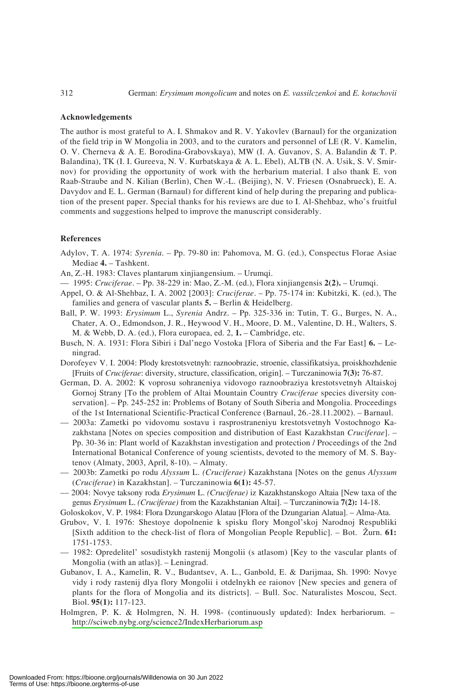#### **Acknowledgements**

The author is most grateful to A. I. Shmakov and R. V. Yakovlev (Barnaul) for the organization of the field trip in W Mongolia in 2003, and to the curators and personnel of LE (R. V. Kamelin, O. V. Cherneva & A. E. Borodina-Grabovskaya), MW (I. A. Guvanov, S. A. Balandin & T. P. Balandina), TK (I. I. Gureeva, N. V. Kurbatskaya & A. L. Ebel), ALTB (N. A. Usik, S. V. Smirnov) for providing the opportunity of work with the herbarium material. I also thank E. von Raab-Straube and N. Kilian (Berlin), Chen W.-L. (Beijing), N. V. Friesen (Osnabrueck), E. A. Davydov and E. L. German (Barnaul) for different kind of help during the preparing and publication of the present paper. Special thanks for his reviews are due to I. Al-Shehbaz, who's fruitful comments and suggestions helped to improve the manuscript considerably.

#### **References**

- Adylov, T. A. 1974: *Syrenia*. Pp. 79-80 in: Pahomova, M. G. (ed.), Conspectus Florae Asiae Mediae **4.** – Tashkent.
- An, Z.-H. 1983: Claves plantarum xinjiangensium. Urumqi.
- 1995: *Cruciferae*. Pp. 38-229 in: Mao, Z.-M. (ed.), Flora xinjiangensis **2(2).** Urumqi.
- Appel, O. & Al-Shehbaz, I. A. 2002 [2003]: *Cruciferae*. Pp. 75-174 in: Kubitzki, K. (ed.), The families and genera of vascular plants **5.** – Berlin & Heidelberg.
- Ball, P. W. 1993: *Erysimum* L., *Syrenia* Andrz. Pp. 325-336 in: Tutin, T. G., Burges, N. A., Chater, A. O., Edmondson, J. R., Heywood V. H., Moore, D. M., Valentine, D. H., Walters, S. M. & Webb, D. A. (ed.), Flora europaea, ed. 2, **1.** – Cambridge, etc.
- Busch, N. A. 1931: Flora Sibiri i Dal'nego Vostoka [Flora of Siberia and the Far East] **6.** Leningrad.
- Dorofeyev V. I. 2004: Plody krestotsvetnyh: raznoobrazie, stroenie, classifikatsiya, proiskhozhdenie [Fruits of *Cruciferae*: diversity, structure, classification, origin]. – Turczaninowia **7(3):** 76-87.
- German, D. A. 2002: K voprosu sohraneniya vidovogo raznoobraziya krestotsvetnyh Altaiskoj Gornoj Strany [To the problem of Altai Mountain Country *Cruciferae* species diversity conservation]. – Pp. 245-252 in: Problems of Botany of South Siberia and Mongolia. Proceedings of the 1st International Scientific-Practical Conference (Barnaul, 26.-28.11.2002). – Barnaul.
- 2003a: Zametki po vidovomu sostavu i rasprostraneniyu krestotsvetnyh Vostochnogo Kazakhstana [Notes on species composition and distribution of East Kazakhstan *Cruciferae*]. – Pp. 30-36 in: Plant world of Kazakhstan investigation and protection / Proceedings of the 2nd International Botanical Conference of young scientists, devoted to the memory of M. S. Baytenov (Almaty, 2003, April, 8-10). – Almaty.
- 2003b: Zametki po rodu *Alyssum* L. *(Cruciferae)* Kazakhstana [Notes on the genus *Alyssum* (*Cruciferae*) in Kazakhstan]. – Turczaninowia **6(1):** 45-57.
- –– 2004: Novye taksony roda *Erysimum* L. *(Cruciferae)* iz Kazakhstanskogo Altaia [New taxa of the genus *Erysimum* L. *(Cruciferae)* from the Kazakhstanian Altai]. – Turczaninowia **7(2):** 14-18.
- Goloskokov, V. P. 1984: Flora Dzungarskogo Alatau [Flora of the Dzungarian Alatua]. Alma-Ata.
- Grubov, V. I. 1976: Shestoye dopolnenie k spisku flory Mongol'skoj Narodnoj Respubliki [Sixth addition to the check-list of flora of Mongolian People Republic]. – Bot. Zurn. **61:** 1751-1753.
- 1982: Opredelitel' sosudistykh rastenij Mongolii (s atlasom) [Key to the vascular plants of Mongolia (with an atlas)]. – Leningrad.
- Gubanov, I. A., Kamelin, R. V., Budantsev, A. L., Ganbold, E. & Darijmaa, Sh. 1990: Novye vidy i rody rastenij dlya flory Mongolii i otdelnykh ee raionov [New species and genera of plants for the flora of Mongolia and its districts]. – Bull. Soc. Naturalistes Moscou, Sect. Biol. **95(1):** 117-123.
- Holmgren, P. K. & Holmgren, N. H. 1998- (continuously updated): Index herbariorum. http://sciweb.nybg.org/science2/IndexHerbariorum.asp